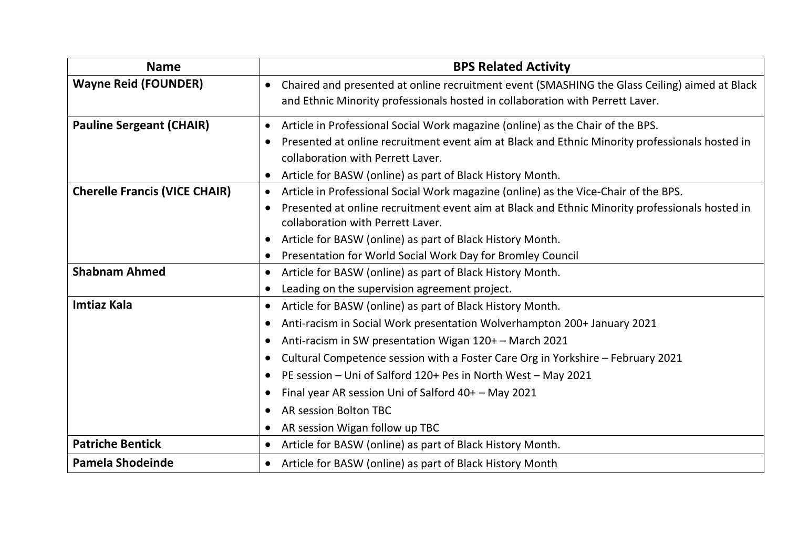| <b>Name</b>                          | <b>BPS Related Activity</b>                                                                                                                      |
|--------------------------------------|--------------------------------------------------------------------------------------------------------------------------------------------------|
| <b>Wayne Reid (FOUNDER)</b>          | Chaired and presented at online recruitment event (SMASHING the Glass Ceiling) aimed at Black<br>$\bullet$                                       |
|                                      | and Ethnic Minority professionals hosted in collaboration with Perrett Laver.                                                                    |
| <b>Pauline Sergeant (CHAIR)</b>      | Article in Professional Social Work magazine (online) as the Chair of the BPS.<br>$\bullet$                                                      |
|                                      | Presented at online recruitment event aim at Black and Ethnic Minority professionals hosted in<br>$\bullet$<br>collaboration with Perrett Laver. |
|                                      | Article for BASW (online) as part of Black History Month.                                                                                        |
| <b>Cherelle Francis (VICE CHAIR)</b> | Article in Professional Social Work magazine (online) as the Vice-Chair of the BPS.<br>$\bullet$                                                 |
|                                      | Presented at online recruitment event aim at Black and Ethnic Minority professionals hosted in<br>$\bullet$<br>collaboration with Perrett Laver. |
|                                      | Article for BASW (online) as part of Black History Month.<br>$\bullet$                                                                           |
|                                      | Presentation for World Social Work Day for Bromley Council<br>$\bullet$                                                                          |
| <b>Shabnam Ahmed</b>                 | Article for BASW (online) as part of Black History Month.<br>$\bullet$                                                                           |
|                                      | Leading on the supervision agreement project.<br>$\bullet$                                                                                       |
| <b>Imtiaz Kala</b>                   | Article for BASW (online) as part of Black History Month.<br>$\bullet$                                                                           |
|                                      | Anti-racism in Social Work presentation Wolverhampton 200+ January 2021<br>$\bullet$                                                             |
|                                      | Anti-racism in SW presentation Wigan 120+ - March 2021<br>$\bullet$                                                                              |
|                                      | Cultural Competence session with a Foster Care Org in Yorkshire - February 2021<br>$\bullet$                                                     |
|                                      | PE session - Uni of Salford 120+ Pes in North West - May 2021<br>$\bullet$                                                                       |
|                                      | Final year AR session Uni of Salford 40+ - May 2021<br>$\bullet$                                                                                 |
|                                      | <b>AR session Bolton TBC</b><br>$\bullet$                                                                                                        |
|                                      | AR session Wigan follow up TBC<br>$\bullet$                                                                                                      |
| <b>Patriche Bentick</b>              | Article for BASW (online) as part of Black History Month.<br>$\bullet$                                                                           |
| <b>Pamela Shodeinde</b>              | Article for BASW (online) as part of Black History Month<br>$\bullet$                                                                            |